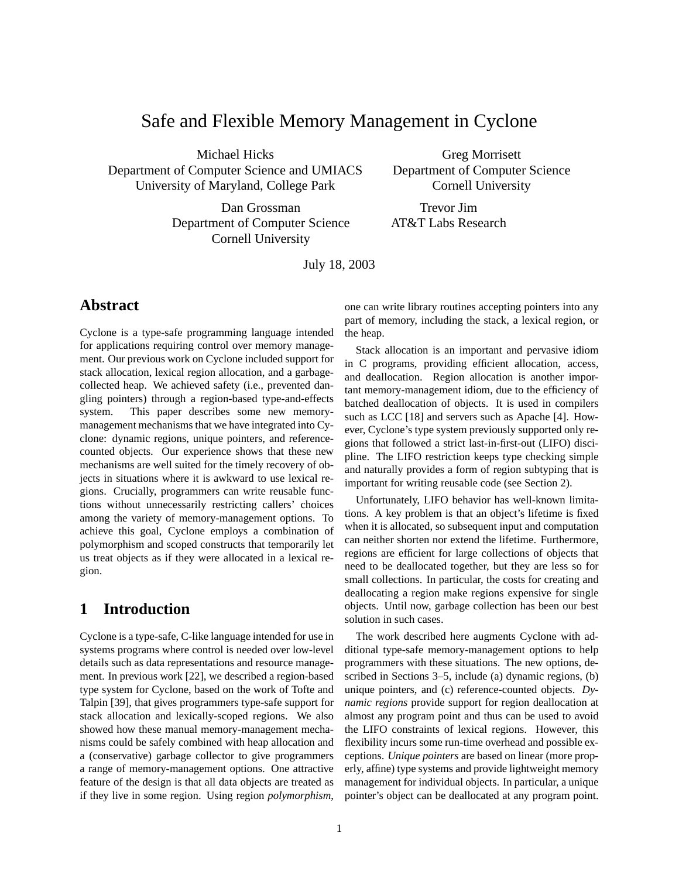# Safe and Flexible Memory Management in Cyclone

Michael Hicks Department of Computer Science and UMIACS University of Maryland, College Park

> Dan Grossman Department of Computer Science Cornell University

Greg Morrisett Department of Computer Science Cornell University

Trevor Jim AT&T Labs Research

July 18, 2003

## **Abstract**

Cyclone is a type-safe programming language intended for applications requiring control over memory management. Our previous work on Cyclone included support for stack allocation, lexical region allocation, and a garbagecollected heap. We achieved safety (i.e., prevented dangling pointers) through a region-based type-and-effects system. This paper describes some new memorymanagement mechanisms that we have integrated into Cyclone: dynamic regions, unique pointers, and referencecounted objects. Our experience shows that these new mechanisms are well suited for the timely recovery of objects in situations where it is awkward to use lexical regions. Crucially, programmers can write reusable functions without unnecessarily restricting callers' choices among the variety of memory-management options. To achieve this goal, Cyclone employs a combination of polymorphism and scoped constructs that temporarily let us treat objects as if they were allocated in a lexical region.

## **1 Introduction**

Cyclone is a type-safe, C-like language intended for use in systems programs where control is needed over low-level details such as data representations and resource management. In previous work [22], we described a region-based type system for Cyclone, based on the work of Tofte and Talpin [39], that gives programmers type-safe support for stack allocation and lexically-scoped regions. We also showed how these manual memory-management mechanisms could be safely combined with heap allocation and a (conservative) garbage collector to give programmers a range of memory-management options. One attractive feature of the design is that all data objects are treated as if they live in some region. Using region *polymorphism*, one can write library routines accepting pointers into any part of memory, including the stack, a lexical region, or the heap.

Stack allocation is an important and pervasive idiom in C programs, providing efficient allocation, access, and deallocation. Region allocation is another important memory-management idiom, due to the efficiency of batched deallocation of objects. It is used in compilers such as LCC [18] and servers such as Apache [4]. However, Cyclone's type system previously supported only regions that followed a strict last-in-first-out (LIFO) discipline. The LIFO restriction keeps type checking simple and naturally provides a form of region subtyping that is important for writing reusable code (see Section 2).

Unfortunately, LIFO behavior has well-known limitations. A key problem is that an object's lifetime is fixed when it is allocated, so subsequent input and computation can neither shorten nor extend the lifetime. Furthermore, regions are efficient for large collections of objects that need to be deallocated together, but they are less so for small collections. In particular, the costs for creating and deallocating a region make regions expensive for single objects. Until now, garbage collection has been our best solution in such cases.

The work described here augments Cyclone with additional type-safe memory-management options to help programmers with these situations. The new options, described in Sections 3–5, include (a) dynamic regions, (b) unique pointers, and (c) reference-counted objects. *Dynamic regions* provide support for region deallocation at almost any program point and thus can be used to avoid the LIFO constraints of lexical regions. However, this flexibility incurs some run-time overhead and possible exceptions. *Unique pointers* are based on linear (more properly, affine) type systems and provide lightweight memory management for individual objects. In particular, a unique pointer's object can be deallocated at any program point.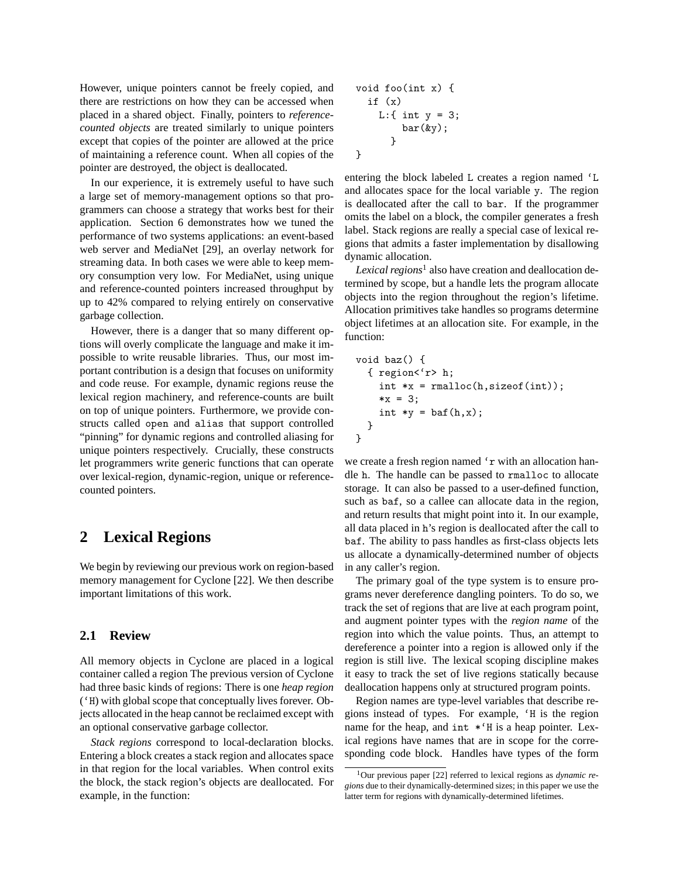However, unique pointers cannot be freely copied, and there are restrictions on how they can be accessed when placed in a shared object. Finally, pointers to *referencecounted objects* are treated similarly to unique pointers except that copies of the pointer are allowed at the price of maintaining a reference count. When all copies of the pointer are destroyed, the object is deallocated.

In our experience, it is extremely useful to have such a large set of memory-management options so that programmers can choose a strategy that works best for their application. Section 6 demonstrates how we tuned the performance of two systems applications: an event-based web server and MediaNet [29], an overlay network for streaming data. In both cases we were able to keep memory consumption very low. For MediaNet, using unique and reference-counted pointers increased throughput by up to 42% compared to relying entirely on conservative garbage collection.

However, there is a danger that so many different options will overly complicate the language and make it impossible to write reusable libraries. Thus, our most important contribution is a design that focuses on uniformity and code reuse. For example, dynamic regions reuse the lexical region machinery, and reference-counts are built on top of unique pointers. Furthermore, we provide constructs called open and alias that support controlled "pinning" for dynamic regions and controlled aliasing for unique pointers respectively. Crucially, these constructs let programmers write generic functions that can operate over lexical-region, dynamic-region, unique or referencecounted pointers.

## **2 Lexical Regions**

We begin by reviewing our previous work on region-based memory management for Cyclone [22]. We then describe important limitations of this work.

#### **2.1 Review**

All memory objects in Cyclone are placed in a logical container called a region The previous version of Cyclone had three basic kinds of regions: There is one *heap region* ('H) with global scope that conceptually lives forever. Objects allocated in the heap cannot be reclaimed except with an optional conservative garbage collector.

*Stack regions* correspond to local-declaration blocks. Entering a block creates a stack region and allocates space in that region for the local variables. When control exits the block, the stack region's objects are deallocated. For example, in the function:

void foo(int x) { if (x) L:{ int y = 3; bar(&y); } }

entering the block labeled L creates a region named 'L and allocates space for the local variable y. The region is deallocated after the call to bar. If the programmer omits the label on a block, the compiler generates a fresh label. Stack regions are really a special case of lexical regions that admits a faster implementation by disallowing dynamic allocation.

*Lexical regions*<sup>1</sup> also have creation and deallocation determined by scope, but a handle lets the program allocate objects into the region throughout the region's lifetime. Allocation primitives take handles so programs determine object lifetimes at an allocation site. For example, in the function:

```
void baz() {
  { region<'r> h;
     int *x = \text{malloc}(h, \text{sizeof}(\text{int}));
     *x = 3:int *y = baf(h,x);
  }
}
```
we create a fresh region named 'r with an allocation handle h. The handle can be passed to rmalloc to allocate storage. It can also be passed to a user-defined function, such as baf, so a callee can allocate data in the region, and return results that might point into it. In our example, all data placed in h's region is deallocated after the call to baf. The ability to pass handles as first-class objects lets us allocate a dynamically-determined number of objects in any caller's region.

The primary goal of the type system is to ensure programs never dereference dangling pointers. To do so, we track the set of regions that are live at each program point, and augment pointer types with the *region name* of the region into which the value points. Thus, an attempt to dereference a pointer into a region is allowed only if the region is still live. The lexical scoping discipline makes it easy to track the set of live regions statically because deallocation happens only at structured program points.

Region names are type-level variables that describe regions instead of types. For example, 'H is the region name for the heap, and int  $*$ <sup>'</sup>H is a heap pointer. Lexical regions have names that are in scope for the corresponding code block. Handles have types of the form

<sup>1</sup>Our previous paper [22] referred to lexical regions as *dynamic regions* due to their dynamically-determined sizes; in this paper we use the latter term for regions with dynamically-determined lifetimes.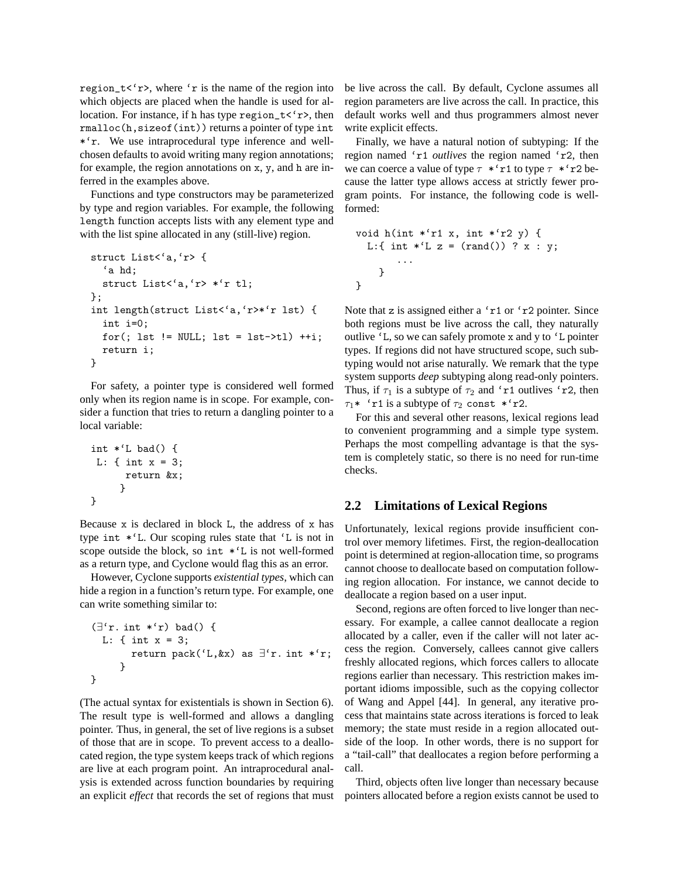region\_t< $\langle r \rangle$ , where  $\langle r \rangle$  is the name of the region into which objects are placed when the handle is used for allocation. For instance, if h has type  $\text{region}\text{-}t\lt' r\gt$ , then rmalloc(h,sizeof(int)) returns a pointer of type int \*'r. We use intraprocedural type inference and wellchosen defaults to avoid writing many region annotations; for example, the region annotations on x, y, and h are inferred in the examples above.

Functions and type constructors may be parameterized by type and region variables. For example, the following length function accepts lists with any element type and with the list spine allocated in any (still-live) region.

```
struct List<'a,'r> {
  'a hd;
 struct List<'a,'r> *'r tl;
};
int length(struct List<'a,'r>*'r lst) {
 int i=0;
 for(; lst != NULL; lst = lst->tl) ++i;
 return i;
}
```
For safety, a pointer type is considered well formed only when its region name is in scope. For example, consider a function that tries to return a dangling pointer to a local variable:

```
int *^t bad() {
L: { int x = 3;
      return &x;
     }
}
```
Because x is declared in block L, the address of x has type int \*'L. Our scoping rules state that 'L is not in scope outside the block, so int \*'L is not well-formed as a return type, and Cyclone would flag this as an error.

However, Cyclone supports *existential types*, which can hide a region in a function's return type. For example, one can write something similar to:

```
(\exists'r. int *'r) bad() {
  L: { int x = 3;
        return pack('L, &x) as \exists'r. int *'r;
      }
}
```
(The actual syntax for existentials is shown in Section 6). The result type is well-formed and allows a dangling pointer. Thus, in general, the set of live regions is a subset of those that are in scope. To prevent access to a deallocated region, the type system keeps track of which regions are live at each program point. An intraprocedural analysis is extended across function boundaries by requiring an explicit *effect* that records the set of regions that must be live across the call. By default, Cyclone assumes all region parameters are live across the call. In practice, this default works well and thus programmers almost never write explicit effects.

Finally, we have a natural notion of subtyping: If the region named 'r1 *outlives* the region named 'r2, then we can coerce a value of type  $\tau$  \*'r1 to type  $\tau$  \*'r2 because the latter type allows access at strictly fewer program points. For instance, the following code is wellformed:

```
void h(int *'r1 x, int *'r2 y) {
  L:{ int *^{\prime}L z = (rand()) ? x : y;
        ...
    }
}
```
Note that z is assigned either a 'r1 or 'r2 pointer. Since both regions must be live across the call, they naturally outlive 'L, so we can safely promote x and y to 'L pointer types. If regions did not have structured scope, such subtyping would not arise naturally. We remark that the type system supports *deep* subtyping along read-only pointers. Thus, if  $\tau_1$  is a subtype of  $\tau_2$  and 'r1 outlives 'r2, then  $\tau_1$ <sup>\*</sup> 'r1 is a subtype of  $\tau_2$  const \*'r2.

For this and several other reasons, lexical regions lead to convenient programming and a simple type system. Perhaps the most compelling advantage is that the system is completely static, so there is no need for run-time checks.

#### **2.2 Limitations of Lexical Regions**

Unfortunately, lexical regions provide insufficient control over memory lifetimes. First, the region-deallocation point is determined at region-allocation time, so programs cannot choose to deallocate based on computation following region allocation. For instance, we cannot decide to deallocate a region based on a user input.

Second, regions are often forced to live longer than necessary. For example, a callee cannot deallocate a region allocated by a caller, even if the caller will not later access the region. Conversely, callees cannot give callers freshly allocated regions, which forces callers to allocate regions earlier than necessary. This restriction makes important idioms impossible, such as the copying collector of Wang and Appel [44]. In general, any iterative process that maintains state across iterations is forced to leak memory; the state must reside in a region allocated outside of the loop. In other words, there is no support for a "tail-call" that deallocates a region before performing a call.

Third, objects often live longer than necessary because pointers allocated before a region exists cannot be used to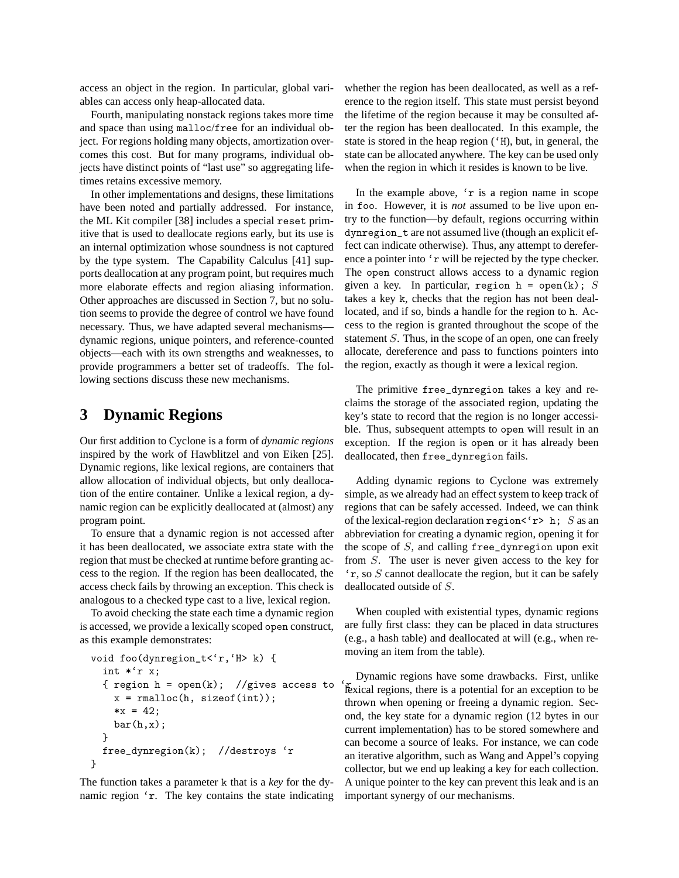access an object in the region. In particular, global variables can access only heap-allocated data.

Fourth, manipulating nonstack regions takes more time and space than using malloc/free for an individual object. For regions holding many objects, amortization overcomes this cost. But for many programs, individual objects have distinct points of "last use" so aggregating lifetimes retains excessive memory.

In other implementations and designs, these limitations have been noted and partially addressed. For instance, the ML Kit compiler [38] includes a special reset primitive that is used to deallocate regions early, but its use is an internal optimization whose soundness is not captured by the type system. The Capability Calculus [41] supports deallocation at any program point, but requires much more elaborate effects and region aliasing information. Other approaches are discussed in Section 7, but no solution seems to provide the degree of control we have found necessary. Thus, we have adapted several mechanisms dynamic regions, unique pointers, and reference-counted objects—each with its own strengths and weaknesses, to provide programmers a better set of tradeoffs. The following sections discuss these new mechanisms.

### **3 Dynamic Regions**

Our first addition to Cyclone is a form of *dynamic regions* inspired by the work of Hawblitzel and von Eiken [25]. Dynamic regions, like lexical regions, are containers that allow allocation of individual objects, but only deallocation of the entire container. Unlike a lexical region, a dynamic region can be explicitly deallocated at (almost) any program point.

To ensure that a dynamic region is not accessed after it has been deallocated, we associate extra state with the region that must be checked at runtime before granting access to the region. If the region has been deallocated, the access check fails by throwing an exception. This check is analogous to a checked type cast to a live, lexical region.

To avoid checking the state each time a dynamic region is accessed, we provide a lexically scoped open construct, as this example demonstrates:

```
void foo(dynregion_t<'r,'H> k) {
  int *'r x;
  { region h = \text{open}(k); //gives access to
    x = \text{rmalloc}(h, \text{sizeof(int)});*x = 42;bar(h,x);}
  free_dynregion(k); //destroys 'r
}
```
The function takes a parameter k that is a *key* for the dynamic region 'r. The key contains the state indicating

whether the region has been deallocated, as well as a reference to the region itself. This state must persist beyond the lifetime of the region because it may be consulted after the region has been deallocated. In this example, the state is stored in the heap region ('H), but, in general, the state can be allocated anywhere. The key can be used only when the region in which it resides is known to be live.

In the example above, 'r is a region name in scope in foo. However, it is *not* assumed to be live upon entry to the function—by default, regions occurring within dynregion\_t are not assumed live (though an explicit effect can indicate otherwise). Thus, any attempt to dereference a pointer into 'r will be rejected by the type checker. The open construct allows access to a dynamic region given a key. In particular, region  $h = \text{open}(k)$ ; S takes a key k, checks that the region has not been deallocated, and if so, binds a handle for the region to h. Access to the region is granted throughout the scope of the statement S. Thus, in the scope of an open, one can freely allocate, dereference and pass to functions pointers into the region, exactly as though it were a lexical region.

The primitive free\_dynregion takes a key and reclaims the storage of the associated region, updating the key's state to record that the region is no longer accessible. Thus, subsequent attempts to open will result in an exception. If the region is open or it has already been deallocated, then free\_dynregion fails.

Adding dynamic regions to Cyclone was extremely simple, as we already had an effect system to keep track of regions that can be safely accessed. Indeed, we can think of the lexical-region declaration region  $\leq r$  h; S as an abbreviation for creating a dynamic region, opening it for the scope of  $S$ , and calling free\_dynregion upon exit from S. The user is never given access to the key for 'r, so S cannot deallocate the region, but it can be safely deallocated outside of S.

When coupled with existential types, dynamic regions are fully first class: they can be placed in data structures (e.g., a hash table) and deallocated at will (e.g., when removing an item from the table).

Dynamic regions have some drawbacks. First, unlike lexical regions, there is a potential for an exception to be thrown when opening or freeing a dynamic region. Second, the key state for a dynamic region (12 bytes in our current implementation) has to be stored somewhere and can become a source of leaks. For instance, we can code an iterative algorithm, such as Wang and Appel's copying collector, but we end up leaking a key for each collection. A unique pointer to the key can prevent this leak and is an important synergy of our mechanisms.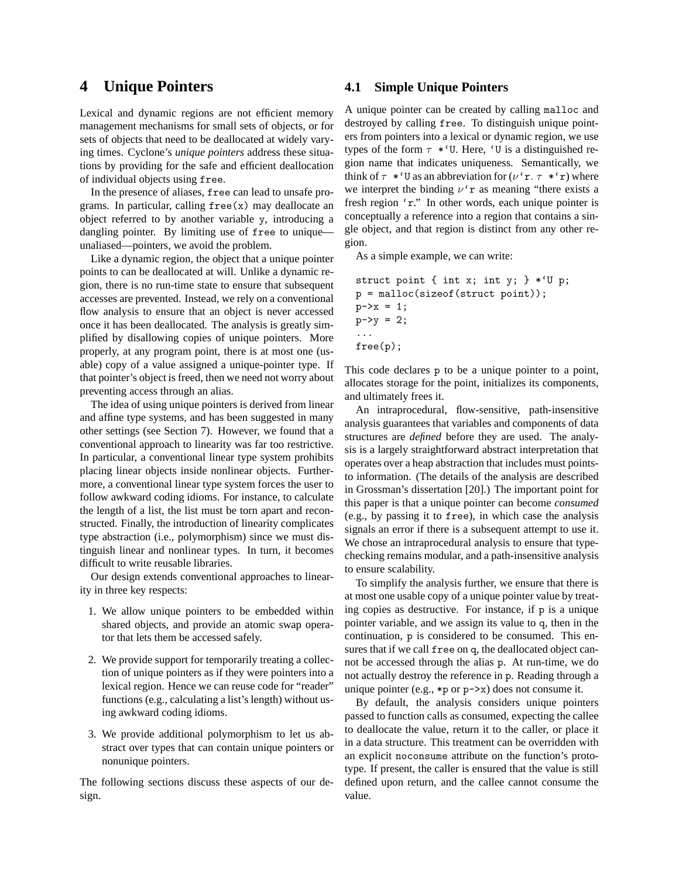### **4 Unique Pointers**

Lexical and dynamic regions are not efficient memory management mechanisms for small sets of objects, or for sets of objects that need to be deallocated at widely varying times. Cyclone's *unique pointers* address these situations by providing for the safe and efficient deallocation of individual objects using free.

In the presence of aliases, free can lead to unsafe programs. In particular, calling free(x) may deallocate an object referred to by another variable y, introducing a dangling pointer. By limiting use of free to uniqueunaliased—pointers, we avoid the problem.

Like a dynamic region, the object that a unique pointer points to can be deallocated at will. Unlike a dynamic region, there is no run-time state to ensure that subsequent accesses are prevented. Instead, we rely on a conventional flow analysis to ensure that an object is never accessed once it has been deallocated. The analysis is greatly simplified by disallowing copies of unique pointers. More properly, at any program point, there is at most one (usable) copy of a value assigned a unique-pointer type. If that pointer's object is freed, then we need not worry about preventing access through an alias.

The idea of using unique pointers is derived from linear and affine type systems, and has been suggested in many other settings (see Section 7). However, we found that a conventional approach to linearity was far too restrictive. In particular, a conventional linear type system prohibits placing linear objects inside nonlinear objects. Furthermore, a conventional linear type system forces the user to follow awkward coding idioms. For instance, to calculate the length of a list, the list must be torn apart and reconstructed. Finally, the introduction of linearity complicates type abstraction (i.e., polymorphism) since we must distinguish linear and nonlinear types. In turn, it becomes difficult to write reusable libraries.

Our design extends conventional approaches to linearity in three key respects:

- 1. We allow unique pointers to be embedded within shared objects, and provide an atomic swap operator that lets them be accessed safely.
- 2. We provide support for temporarily treating a collection of unique pointers as if they were pointers into a lexical region. Hence we can reuse code for "reader" functions (e.g., calculating a list's length) without using awkward coding idioms.
- 3. We provide additional polymorphism to let us abstract over types that can contain unique pointers or nonunique pointers.

The following sections discuss these aspects of our design.

#### **4.1 Simple Unique Pointers**

A unique pointer can be created by calling malloc and destroyed by calling free. To distinguish unique pointers from pointers into a lexical or dynamic region, we use types of the form  $\tau *$ 'U. Here, 'U is a distinguished region name that indicates uniqueness. Semantically, we think of  $\tau$  \*'U as an abbreviation for  $(\nu^r r, \tau^r r)$  where we interpret the binding  $\nu$ 'r as meaning "there exists a fresh region 'r." In other words, each unique pointer is conceptually a reference into a region that contains a single object, and that region is distinct from any other region.

As a simple example, we can write:

```
struct point { int x; int y; } *'U p;
p = malloc(sizeof(struct point));
p->x = 1;p - y = 2;...
free(p);
```
This code declares p to be a unique pointer to a point, allocates storage for the point, initializes its components, and ultimately frees it.

An intraprocedural, flow-sensitive, path-insensitive analysis guarantees that variables and components of data structures are *defined* before they are used. The analysis is a largely straightforward abstract interpretation that operates over a heap abstraction that includes must pointsto information. (The details of the analysis are described in Grossman's dissertation [20].) The important point for this paper is that a unique pointer can become *consumed* (e.g., by passing it to free), in which case the analysis signals an error if there is a subsequent attempt to use it. We chose an intraprocedural analysis to ensure that typechecking remains modular, and a path-insensitive analysis to ensure scalability.

To simplify the analysis further, we ensure that there is at most one usable copy of a unique pointer value by treating copies as destructive. For instance, if p is a unique pointer variable, and we assign its value to q, then in the continuation, p is considered to be consumed. This ensures that if we call free on q, the deallocated object cannot be accessed through the alias p. At run-time, we do not actually destroy the reference in p. Reading through a unique pointer (e.g.,  $\ast p$  or  $p\rightarrow x$ ) does not consume it.

By default, the analysis considers unique pointers passed to function calls as consumed, expecting the callee to deallocate the value, return it to the caller, or place it in a data structure. This treatment can be overridden with an explicit noconsume attribute on the function's prototype. If present, the caller is ensured that the value is still defined upon return, and the callee cannot consume the value.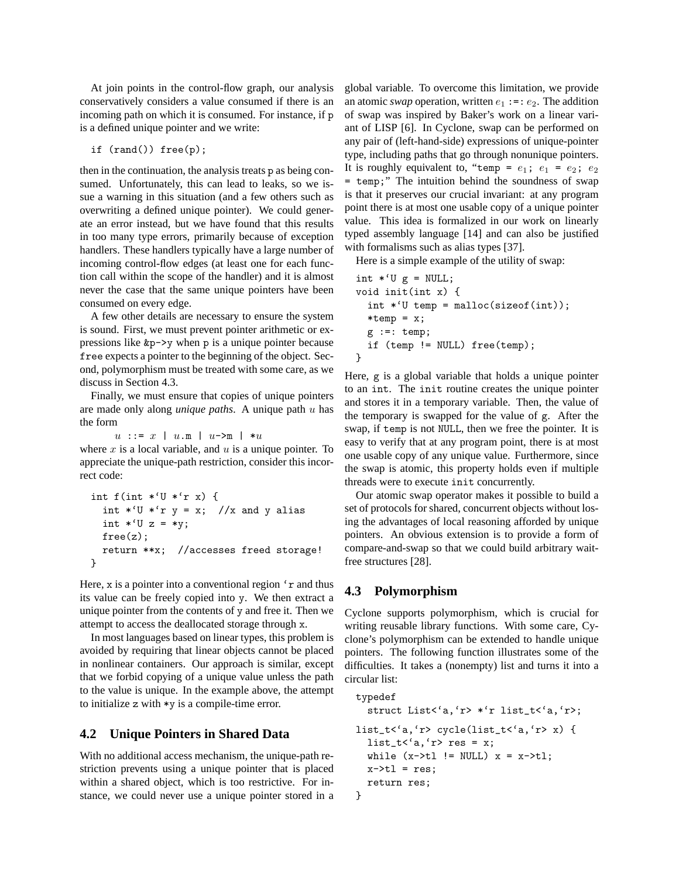At join points in the control-flow graph, our analysis conservatively considers a value consumed if there is an incoming path on which it is consumed. For instance, if p is a defined unique pointer and we write:

```
if (rand()) free(p);
```
then in the continuation, the analysis treats p as being consumed. Unfortunately, this can lead to leaks, so we issue a warning in this situation (and a few others such as overwriting a defined unique pointer). We could generate an error instead, but we have found that this results in too many type errors, primarily because of exception handlers. These handlers typically have a large number of incoming control-flow edges (at least one for each function call within the scope of the handler) and it is almost never the case that the same unique pointers have been consumed on every edge.

A few other details are necessary to ensure the system is sound. First, we must prevent pointer arithmetic or expressions like &p->y when p is a unique pointer because free expects a pointer to the beginning of the object. Second, polymorphism must be treated with some care, as we discuss in Section 4.3.

Finally, we must ensure that copies of unique pointers are made only along *unique paths*. A unique path u has the form

 $u : := x \mid u \cdot m \mid u \rightarrow m \mid *u$ 

where  $x$  is a local variable, and  $u$  is a unique pointer. To appreciate the unique-path restriction, consider this incorrect code:

```
int f(int *'U *'r x) {
  int *^{\prime}U *^{\prime}r y = x; //x and y alias
  int *^{\prime}U z = *y;
  free(z);
  return **x; //accesses freed storage!
}
```
Here, x is a pointer into a conventional region 'r and thus its value can be freely copied into y. We then extract a unique pointer from the contents of y and free it. Then we attempt to access the deallocated storage through x.

In most languages based on linear types, this problem is avoided by requiring that linear objects cannot be placed in nonlinear containers. Our approach is similar, except that we forbid copying of a unique value unless the path to the value is unique. In the example above, the attempt to initialize z with \*y is a compile-time error.

#### **4.2 Unique Pointers in Shared Data**

With no additional access mechanism, the unique-path restriction prevents using a unique pointer that is placed within a shared object, which is too restrictive. For instance, we could never use a unique pointer stored in a

global variable. To overcome this limitation, we provide an atomic *swap* operation, written  $e_1 :=: e_2$ . The addition of swap was inspired by Baker's work on a linear variant of LISP [6]. In Cyclone, swap can be performed on any pair of (left-hand-side) expressions of unique-pointer type, including paths that go through nonunique pointers. It is roughly equivalent to, "temp =  $e_1$ ;  $e_1$  =  $e_2$ ;  $e_2$ temp;" The intuition behind the soundness of swap is that it preserves our crucial invariant: at any program point there is at most one usable copy of a unique pointer value. This idea is formalized in our work on linearly typed assembly language [14] and can also be justified with formalisms such as alias types [37].

Here is a simple example of the utility of swap:

```
int *^{\prime}U g = NULL;
void init(int x) {
  int *'U temp = malloc(sizeof(int));
  *temp = x;g :=: \text{temp};if (temp != NULL) free(temp);
}
```
Here, g is a global variable that holds a unique pointer to an int. The init routine creates the unique pointer and stores it in a temporary variable. Then, the value of the temporary is swapped for the value of g. After the swap, if temp is not NULL, then we free the pointer. It is easy to verify that at any program point, there is at most one usable copy of any unique value. Furthermore, since the swap is atomic, this property holds even if multiple threads were to execute init concurrently.

Our atomic swap operator makes it possible to build a set of protocols for shared, concurrent objects without losing the advantages of local reasoning afforded by unique pointers. An obvious extension is to provide a form of compare-and-swap so that we could build arbitrary waitfree structures [28].

## **4.3 Polymorphism**

Cyclone supports polymorphism, which is crucial for writing reusable library functions. With some care, Cyclone's polymorphism can be extended to handle unique pointers. The following function illustrates some of the difficulties. It takes a (nonempty) list and turns it into a circular list:

```
typedef
  struct List<'a,'r> *'r list_t<'a,'r>;
list_t<'a,'r> cycle(list_t<'a,'r> x) {
 list_t<'a,'r> res = x;
 while (x->t1 != NULL) x = x->t1;
 x->tl = res;
 return res;
}
```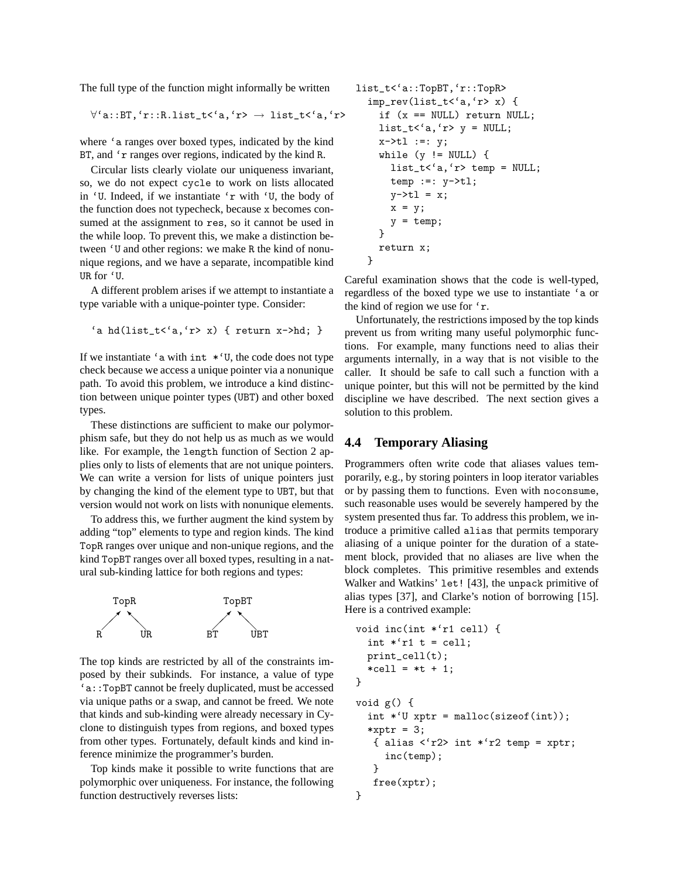The full type of the function might informally be written

$$
\forall 'a::BT, 'r::R.list_t< 'a, 'r> \rightarrow list_t< 'a, 'r>
$$

where 'a ranges over boxed types, indicated by the kind BT, and 'r ranges over regions, indicated by the kind R.

Circular lists clearly violate our uniqueness invariant, so, we do not expect cycle to work on lists allocated in 'U. Indeed, if we instantiate 'r with 'U, the body of the function does not typecheck, because x becomes consumed at the assignment to res, so it cannot be used in the while loop. To prevent this, we make a distinction between 'U and other regions: we make R the kind of nonunique regions, and we have a separate, incompatible kind UR for 'U.

A different problem arises if we attempt to instantiate a type variable with a unique-pointer type. Consider:

```
'a hd(list_t<'a,'r> x) { return x->hd; }
```
If we instantiate 'a with  $int$  \*'U, the code does not type check because we access a unique pointer via a nonunique path. To avoid this problem, we introduce a kind distinction between unique pointer types (UBT) and other boxed types.

These distinctions are sufficient to make our polymorphism safe, but they do not help us as much as we would like. For example, the length function of Section 2 applies only to lists of elements that are not unique pointers. We can write a version for lists of unique pointers just by changing the kind of the element type to UBT, but that version would not work on lists with nonunique elements.

To address this, we further augment the kind system by adding "top" elements to type and region kinds. The kind TopR ranges over unique and non-unique regions, and the kind TopBT ranges over all boxed types, resulting in a natural sub-kinding lattice for both regions and types:



The top kinds are restricted by all of the constraints imposed by their subkinds. For instance, a value of type 'a::TopBT cannot be freely duplicated, must be accessed via unique paths or a swap, and cannot be freed. We note that kinds and sub-kinding were already necessary in Cyclone to distinguish types from regions, and boxed types from other types. Fortunately, default kinds and kind inference minimize the programmer's burden.

Top kinds make it possible to write functions that are polymorphic over uniqueness. For instance, the following function destructively reverses lists:

```
list_t<'a::TopBT,'r::TopR>
  imp_rev(list_t<'a,'r> x) {
    if (x == NULL) return NULL;
    list_t<'a,'r> y = NULL;x->tl :=: y;
    while (y \neq WULL) {
      list_t<'a,'r> temp = NULL;
      temp :=: y \rightarrow t1;y->tl = x;
      x = y;y = temp;}
    return x;
  }
```
Careful examination shows that the code is well-typed, regardless of the boxed type we use to instantiate 'a or the kind of region we use for 'r.

Unfortunately, the restrictions imposed by the top kinds prevent us from writing many useful polymorphic functions. For example, many functions need to alias their arguments internally, in a way that is not visible to the caller. It should be safe to call such a function with a unique pointer, but this will not be permitted by the kind discipline we have described. The next section gives a solution to this problem.

#### **4.4 Temporary Aliasing**

Programmers often write code that aliases values temporarily, e.g., by storing pointers in loop iterator variables or by passing them to functions. Even with noconsume, such reasonable uses would be severely hampered by the system presented thus far. To address this problem, we introduce a primitive called alias that permits temporary aliasing of a unique pointer for the duration of a statement block, provided that no aliases are live when the block completes. This primitive resembles and extends Walker and Watkins' let! [43], the unpack primitive of alias types [37], and Clarke's notion of borrowing [15]. Here is a contrived example:

```
void inc(int *'r1 cell) {
  int *'r1 t = cell;
  print_cell(t);
  *cell = *t + 1;}
void g() {
  int *'U xptr = malloc(sizeof(int));
  *xptr = 3;
   { alias \langle 'r2 \rangle int * 'r2 temp = xptr;
     inc(temp);
   }
   free(xptr);
}
```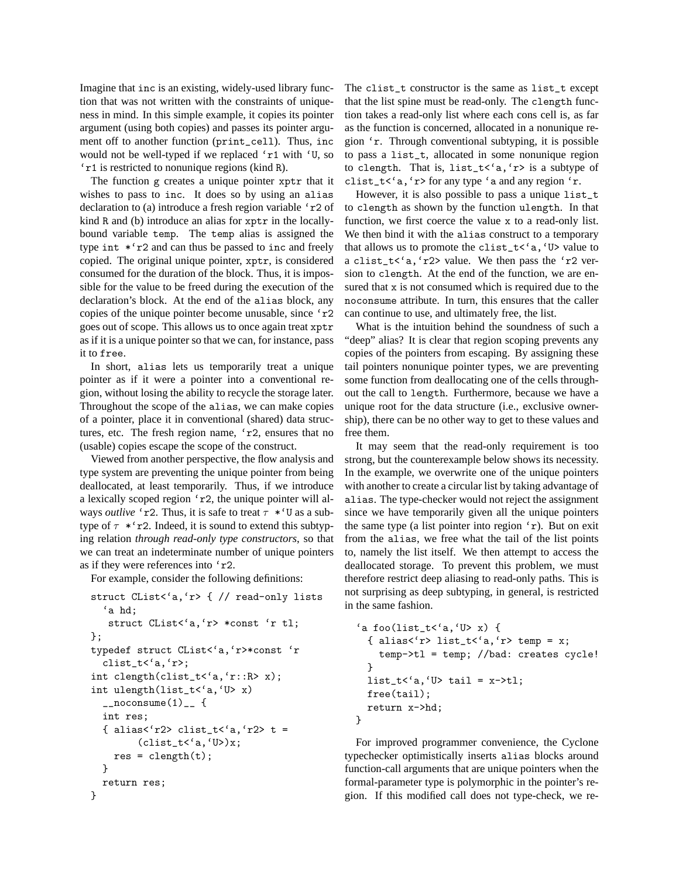Imagine that inc is an existing, widely-used library function that was not written with the constraints of uniqueness in mind. In this simple example, it copies its pointer argument (using both copies) and passes its pointer argument off to another function (print\_cell). Thus, inc would not be well-typed if we replaced 'r1 with 'U, so 'r1 is restricted to nonunique regions (kind R).

The function g creates a unique pointer xptr that it wishes to pass to inc. It does so by using an alias declaration to (a) introduce a fresh region variable 'r2 of kind R and (b) introduce an alias for xptr in the locallybound variable temp. The temp alias is assigned the type int \*'r2 and can thus be passed to inc and freely copied. The original unique pointer, xptr, is considered consumed for the duration of the block. Thus, it is impossible for the value to be freed during the execution of the declaration's block. At the end of the alias block, any copies of the unique pointer become unusable, since 'r2 goes out of scope. This allows us to once again treat xptr as if it is a unique pointer so that we can, for instance, pass it to free.

In short, alias lets us temporarily treat a unique pointer as if it were a pointer into a conventional region, without losing the ability to recycle the storage later. Throughout the scope of the alias, we can make copies of a pointer, place it in conventional (shared) data structures, etc. The fresh region name, 'r2, ensures that no (usable) copies escape the scope of the construct.

Viewed from another perspective, the flow analysis and type system are preventing the unique pointer from being deallocated, at least temporarily. Thus, if we introduce a lexically scoped region 'r2, the unique pointer will always *outlive* 'r2. Thus, it is safe to treat  $\tau$  \*'U as a subtype of  $\tau$  \*'r2. Indeed, it is sound to extend this subtyping relation *through read-only type constructors*, so that we can treat an indeterminate number of unique pointers as if they were references into 'r2.

For example, consider the following definitions:

```
struct CList<'a,'r> { // read-only lists
  'a hd;
   struct CList<'a,'r> *const 'r tl;
};
typedef struct CList<'a,'r>*const 'r
  clist_t<'a,'r>;
int clength(clist_t<'a,'r::R> x);
int ulength(list_t<'a,'U> x)
  _{\text{1}^{\text{}}\text{-}n} consume (1) _{\text{1}} {
  int res;
  { alias<'r2> clist_t<'a,'r2> t =
         (clist_t < 'a, 'U>)x;res = \text{clength}(t);
  }
  return res;
}
```
The clist\_t constructor is the same as list\_t except that the list spine must be read-only. The clength function takes a read-only list where each cons cell is, as far as the function is concerned, allocated in a nonunique region 'r. Through conventional subtyping, it is possible to pass a list\_t, allocated in some nonunique region to clength. That is, list\_t<'a,'r> is a subtype of clist\_t<'a, 'r> for any type 'a and any region 'r.

However, it is also possible to pass a unique list\_t to clength as shown by the function ulength. In that function, we first coerce the value x to a read-only list. We then bind it with the alias construct to a temporary that allows us to promote the clist\_t< $\check{a}$ ,  $\check{U}$  value to a clist\_t<'a,'r2> value. We then pass the 'r2 version to clength. At the end of the function, we are ensured that x is not consumed which is required due to the noconsume attribute. In turn, this ensures that the caller can continue to use, and ultimately free, the list.

What is the intuition behind the soundness of such a "deep" alias? It is clear that region scoping prevents any copies of the pointers from escaping. By assigning these tail pointers nonunique pointer types, we are preventing some function from deallocating one of the cells throughout the call to length. Furthermore, because we have a unique root for the data structure (i.e., exclusive ownership), there can be no other way to get to these values and free them.

It may seem that the read-only requirement is too strong, but the counterexample below shows its necessity. In the example, we overwrite one of the unique pointers with another to create a circular list by taking advantage of alias. The type-checker would not reject the assignment since we have temporarily given all the unique pointers the same type (a list pointer into region 'r). But on exit from the alias, we free what the tail of the list points to, namely the list itself. We then attempt to access the deallocated storage. To prevent this problem, we must therefore restrict deep aliasing to read-only paths. This is not surprising as deep subtyping, in general, is restricted in the same fashion.

```
'a foo(list_t<'a,'U> x) {
  { alias<'r>>\forall list_t<'a,'r> temp = x;
    temp->tl = temp; //bad: creates cycle!
  }
  list_t<'a,'U> tail = x->tl;
  free(tail);
  return x->hd;
}
```
For improved programmer convenience, the Cyclone typechecker optimistically inserts alias blocks around function-call arguments that are unique pointers when the formal-parameter type is polymorphic in the pointer's region. If this modified call does not type-check, we re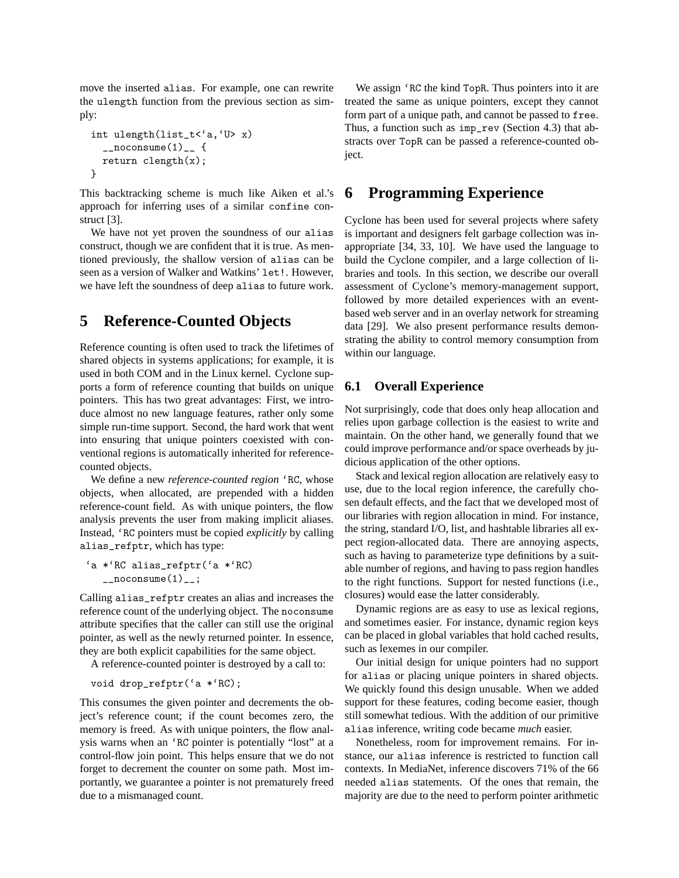move the inserted alias. For example, one can rewrite the ulength function from the previous section as simply:

```
int ulength(list_t<'a,'U> x)
  _{2}noconsume(1)_{-} {
  return clength(x);
}
```
This backtracking scheme is much like Aiken et al.'s approach for inferring uses of a similar confine construct [3].

We have not yet proven the soundness of our alias construct, though we are confident that it is true. As mentioned previously, the shallow version of alias can be seen as a version of Walker and Watkins' let!. However, we have left the soundness of deep alias to future work.

## **5 Reference-Counted Objects**

Reference counting is often used to track the lifetimes of shared objects in systems applications; for example, it is used in both COM and in the Linux kernel. Cyclone supports a form of reference counting that builds on unique pointers. This has two great advantages: First, we introduce almost no new language features, rather only some simple run-time support. Second, the hard work that went into ensuring that unique pointers coexisted with conventional regions is automatically inherited for referencecounted objects.

We define a new *reference-counted region* 'RC, whose objects, when allocated, are prepended with a hidden reference-count field. As with unique pointers, the flow analysis prevents the user from making implicit aliases. Instead, 'RC pointers must be copied *explicitly* by calling alias\_refptr, which has type:

```
'a *'RC alias_refptr('a *'RC)
                  _{\text{10}} = _{\text{20}} = _{\text{20}} = _{\text{20}} = _{\text{20}} = _{\text{20}} = _{\text{20}} = _{\text{20}} = _{\text{21}} = _{\text{22}} = _{\text{22}} = _{\text{23}} = _{\text{24}} = _{\text{25}} = _{\text{26}} = _{\text{27}} = _{\text{28}} = _{\text{29}} = _{\text{
```
Calling alias\_refptr creates an alias and increases the reference count of the underlying object. The noconsume attribute specifies that the caller can still use the original pointer, as well as the newly returned pointer. In essence, they are both explicit capabilities for the same object.

A reference-counted pointer is destroyed by a call to:

```
void drop_refptr('a *'RC);
```
This consumes the given pointer and decrements the object's reference count; if the count becomes zero, the memory is freed. As with unique pointers, the flow analysis warns when an 'RC pointer is potentially "lost" at a control-flow join point. This helps ensure that we do not forget to decrement the counter on some path. Most importantly, we guarantee a pointer is not prematurely freed due to a mismanaged count.

We assign 'RC the kind TopR. Thus pointers into it are treated the same as unique pointers, except they cannot form part of a unique path, and cannot be passed to free. Thus, a function such as imp\_rev (Section 4.3) that abstracts over TopR can be passed a reference-counted object.

### **6 Programming Experience**

Cyclone has been used for several projects where safety is important and designers felt garbage collection was inappropriate [34, 33, 10]. We have used the language to build the Cyclone compiler, and a large collection of libraries and tools. In this section, we describe our overall assessment of Cyclone's memory-management support, followed by more detailed experiences with an eventbased web server and in an overlay network for streaming data [29]. We also present performance results demonstrating the ability to control memory consumption from within our language.

#### **6.1 Overall Experience**

Not surprisingly, code that does only heap allocation and relies upon garbage collection is the easiest to write and maintain. On the other hand, we generally found that we could improve performance and/or space overheads by judicious application of the other options.

Stack and lexical region allocation are relatively easy to use, due to the local region inference, the carefully chosen default effects, and the fact that we developed most of our libraries with region allocation in mind. For instance, the string, standard I/O, list, and hashtable libraries all expect region-allocated data. There are annoying aspects, such as having to parameterize type definitions by a suitable number of regions, and having to pass region handles to the right functions. Support for nested functions (i.e., closures) would ease the latter considerably.

Dynamic regions are as easy to use as lexical regions, and sometimes easier. For instance, dynamic region keys can be placed in global variables that hold cached results, such as lexemes in our compiler.

Our initial design for unique pointers had no support for alias or placing unique pointers in shared objects. We quickly found this design unusable. When we added support for these features, coding become easier, though still somewhat tedious. With the addition of our primitive alias inference, writing code became *much* easier.

Nonetheless, room for improvement remains. For instance, our alias inference is restricted to function call contexts. In MediaNet, inference discovers 71% of the 66 needed alias statements. Of the ones that remain, the majority are due to the need to perform pointer arithmetic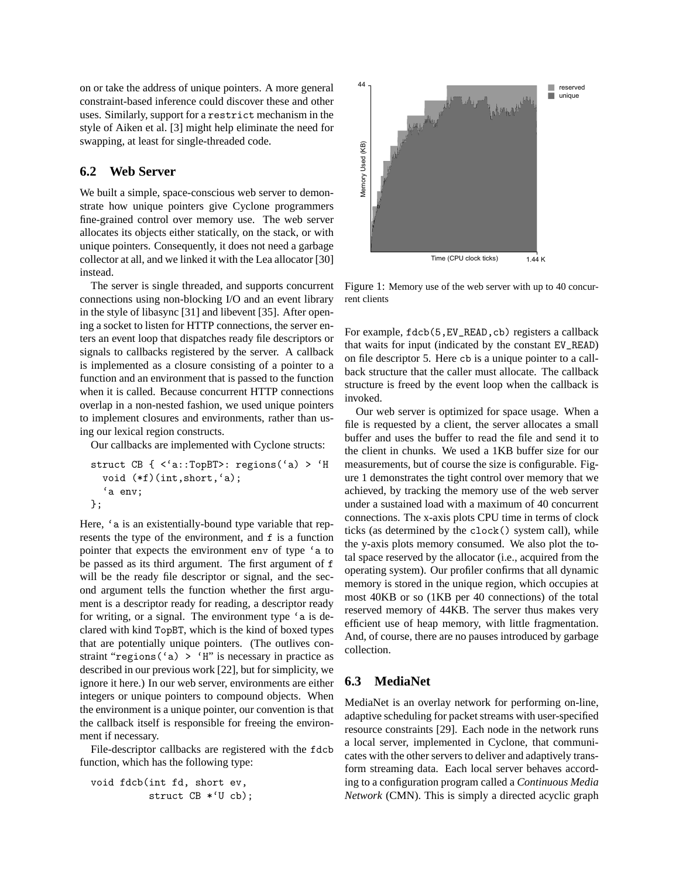on or take the address of unique pointers. A more general constraint-based inference could discover these and other uses. Similarly, support for a restrict mechanism in the style of Aiken et al. [3] might help eliminate the need for swapping, at least for single-threaded code.

#### **6.2 Web Server**

We built a simple, space-conscious web server to demonstrate how unique pointers give Cyclone programmers fine-grained control over memory use. The web server allocates its objects either statically, on the stack, or with unique pointers. Consequently, it does not need a garbage collector at all, and we linked it with the Lea allocator [30] instead.

The server is single threaded, and supports concurrent connections using non-blocking I/O and an event library in the style of libasync [31] and libevent [35]. After opening a socket to listen for HTTP connections, the server enters an event loop that dispatches ready file descriptors or signals to callbacks registered by the server. A callback is implemented as a closure consisting of a pointer to a function and an environment that is passed to the function when it is called. Because concurrent HTTP connections overlap in a non-nested fashion, we used unique pointers to implement closures and environments, rather than using our lexical region constructs.

Our callbacks are implemented with Cyclone structs:

```
struct CB { <'a::TopBT>: regions('a) > 'H
  void (*f)(int,short,'a);
  'a env;
};
```
Here, 'a is an existentially-bound type variable that represents the type of the environment, and f is a function pointer that expects the environment env of type 'a to be passed as its third argument. The first argument of f will be the ready file descriptor or signal, and the second argument tells the function whether the first argument is a descriptor ready for reading, a descriptor ready for writing, or a signal. The environment type 'a is declared with kind TopBT, which is the kind of boxed types that are potentially unique pointers. (The outlives constraint "regions ('a)  $>$  'H" is necessary in practice as described in our previous work [22], but for simplicity, we ignore it here.) In our web server, environments are either integers or unique pointers to compound objects. When the environment is a unique pointer, our convention is that the callback itself is responsible for freeing the environment if necessary.

File-descriptor callbacks are registered with the fdcb function, which has the following type:

```
void fdcb(int fd, short ev,
          struct CB *'U cb);
```


Figure 1: Memory use of the web server with up to 40 concurrent clients

For example, fdcb(5,EV\_READ,cb) registers a callback that waits for input (indicated by the constant EV\_READ) on file descriptor 5. Here cb is a unique pointer to a callback structure that the caller must allocate. The callback structure is freed by the event loop when the callback is invoked.

Our web server is optimized for space usage. When a file is requested by a client, the server allocates a small buffer and uses the buffer to read the file and send it to the client in chunks. We used a 1KB buffer size for our measurements, but of course the size is configurable. Figure 1 demonstrates the tight control over memory that we achieved, by tracking the memory use of the web server under a sustained load with a maximum of 40 concurrent connections. The x-axis plots CPU time in terms of clock ticks (as determined by the clock() system call), while the y-axis plots memory consumed. We also plot the total space reserved by the allocator (i.e., acquired from the operating system). Our profiler confirms that all dynamic memory is stored in the unique region, which occupies at most 40KB or so (1KB per 40 connections) of the total reserved memory of 44KB. The server thus makes very efficient use of heap memory, with little fragmentation. And, of course, there are no pauses introduced by garbage collection.

#### **6.3 MediaNet**

MediaNet is an overlay network for performing on-line, adaptive scheduling for packet streams with user-specified resource constraints [29]. Each node in the network runs a local server, implemented in Cyclone, that communicates with the other servers to deliver and adaptively transform streaming data. Each local server behaves according to a configuration program called a *Continuous Media Network* (CMN). This is simply a directed acyclic graph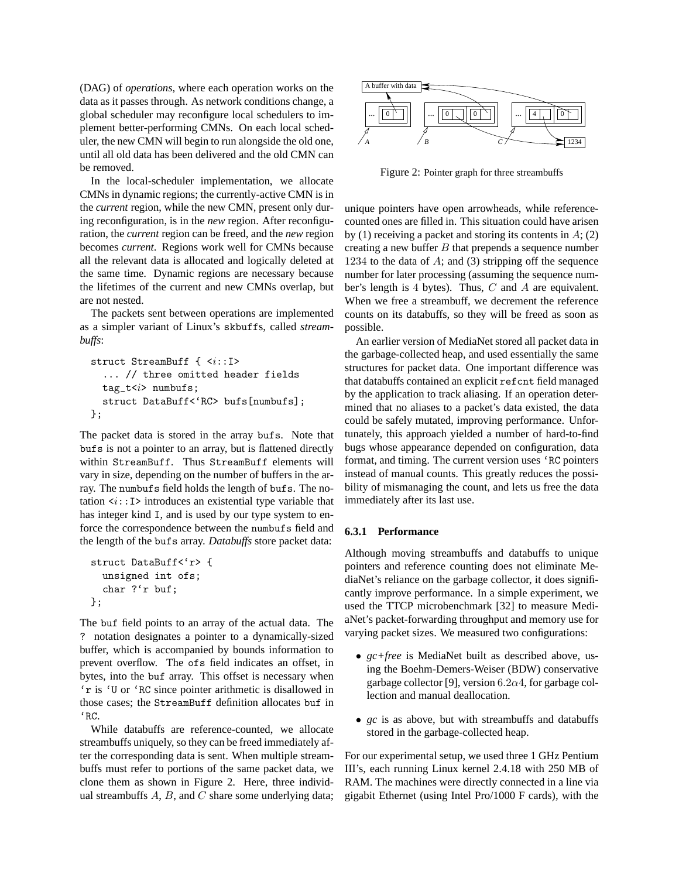(DAG) of *operations*, where each operation works on the data as it passes through. As network conditions change, a global scheduler may reconfigure local schedulers to implement better-performing CMNs. On each local scheduler, the new CMN will begin to run alongside the old one, until all old data has been delivered and the old CMN can be removed.

In the local-scheduler implementation, we allocate CMNs in dynamic regions; the currently-active CMN is in the *current* region, while the new CMN, present only during reconfiguration, is in the *new* region. After reconfiguration, the *current* region can be freed, and the *new* region becomes *current*. Regions work well for CMNs because all the relevant data is allocated and logically deleted at the same time. Dynamic regions are necessary because the lifetimes of the current and new CMNs overlap, but are not nested. (DAO) of operations, where each operation works on the<br>
delain streaments with the each operator in the streament were interestinguished some underlying linear term compligate the buffer and scheduler to the some underlyi

The packets sent between operations are implemented as a simpler variant of Linux's skbuffs, called *streambuffs*:

```
struct StreamBuff { <i::I>
  ... // three omitted header fields
 tag_t(i) numbufs;
 struct DataBuff<'RC> bufs[numbufs];
};
```
The packet data is stored in the array bufs. Note that bufs is not a pointer to an array, but is flattened directly within StreamBuff. Thus StreamBuff elements will vary in size, depending on the number of buffers in the array. The numbufs field holds the length of bufs. The notation  $\langle i: I \rangle$  introduces an existential type variable that has integer kind I, and is used by our type system to enforce the correspondence between the numbufs field and the length of the bufs array. *Databuffs* store packet data:

```
struct DataBuff<'r> {
  unsigned int ofs;
  char ?'r buf;
};
```
The buf field points to an array of the actual data. The ? notation designates a pointer to a dynamically-sized buffer, which is accompanied by bounds information to prevent overflow. The ofs field indicates an offset, in bytes, into the buf array. This offset is necessary when 'r is 'U or 'RC since pointer arithmetic is disallowed in those cases; the StreamBuff definition allocates buf in 'RC.

While databuffs are reference-counted, we allocate streambuffs uniquely, so they can be freed immediately after the corresponding data is sent. When multiple streambuffs must refer to portions of the same packet data, we clone them as shown in Figure 2. Here, three individ-



Figure 2: Pointer graph for three streambuffs

unique pointers have open arrowheads, while referencecounted ones are filled in. This situation could have arisen by (1) receiving a packet and storing its contents in  $A$ ; (2) creating a new buffer  $B$  that prepends a sequence number 1234 to the data of  $A$ ; and (3) stripping off the sequence number for later processing (assuming the sequence number's length is 4 bytes). Thus, C and A are equivalent. When we free a streambuff, we decrement the reference counts on its databuffs, so they will be freed as soon as possible.

An earlier version of MediaNet stored all packet data in the garbage-collected heap, and used essentially the same structures for packet data. One important difference was that databuffs contained an explicit refcnt field managed by the application to track aliasing. If an operation determined that no aliases to a packet's data existed, the data could be safely mutated, improving performance. Unfortunately, this approach yielded a number of hard-to-find bugs whose appearance depended on configuration, data format, and timing. The current version uses 'RC pointers instead of manual counts. This greatly reduces the possibility of mismanaging the count, and lets us free the data immediately after its last use.

#### **6.3.1 Performance**

Although moving streambuffs and databuffs to unique pointers and reference counting does not eliminate MediaNet's reliance on the garbage collector, it does significantly improve performance. In a simple experiment, we used the TTCP microbenchmark [32] to measure MediaNet's packet-forwarding throughput and memory use for varying packet sizes. We measured two configurations:

- *gc+free* is MediaNet built as described above, using the Boehm-Demers-Weiser (BDW) conservative garbage collector [9], version 6.2 $\alpha$ 4, for garbage collection and manual deallocation.
- *gc* is as above, but with streambuffs and databuffs stored in the garbage-collected heap.

For our experimental setup, we used three 1 GHz Pentium III's, each running Linux kernel 2.4.18 with 250 MB of RAM. The machines were directly connected in a line via gigabit Ethernet (using Intel Pro/1000 F cards), with the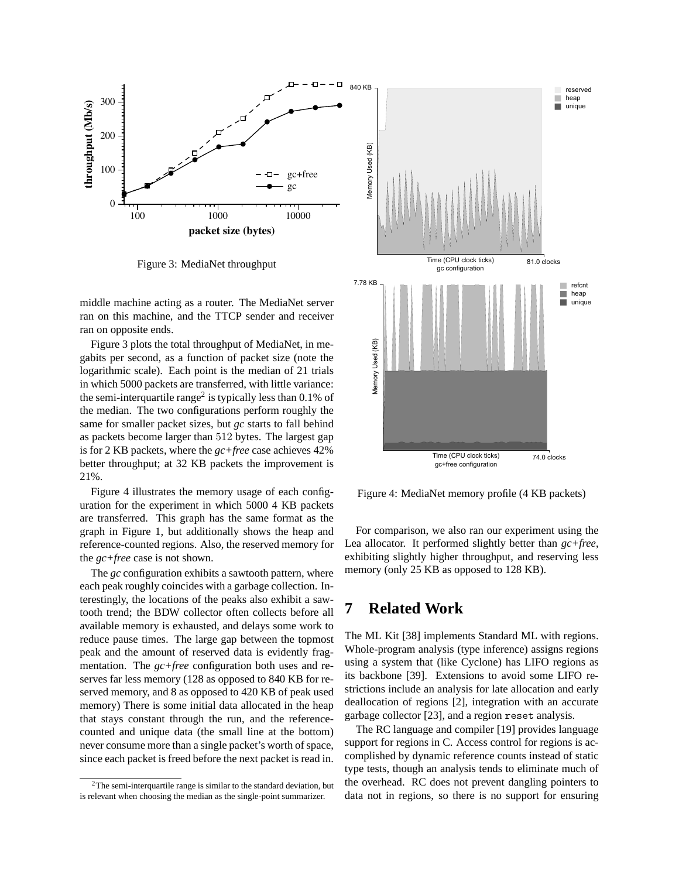

Figure 3: MediaNet throughput

middle machine acting as a router. The MediaNet server ran on this machine, and the TTCP sender and receiver ran on opposite ends.

Figure 3 plots the total throughput of MediaNet, in megabits per second, as a function of packet size (note the logarithmic scale). Each point is the median of 21 trials in which 5000 packets are transferred, with little variance: the semi-interquartile range<sup>2</sup> is typically less than 0.1% of the median. The two configurations perform roughly the same for smaller packet sizes, but *gc* starts to fall behind as packets become larger than 512 bytes. The largest gap is for 2 KB packets, where the *gc+free* case achieves 42% better throughput; at 32 KB packets the improvement is 21%.

Figure 4 illustrates the memory usage of each configuration for the experiment in which 5000 4 KB packets are transferred. This graph has the same format as the graph in Figure 1, but additionally shows the heap and reference-counted regions. Also, the reserved memory for the *gc+free* case is not shown.

The *gc* configuration exhibits a sawtooth pattern, where each peak roughly coincides with a garbage collection. Interestingly, the locations of the peaks also exhibit a sawtooth trend; the BDW collector often collects before all available memory is exhausted, and delays some work to reduce pause times. The large gap between the topmost peak and the amount of reserved data is evidently fragmentation. The *gc+free* configuration both uses and reserves far less memory (128 as opposed to 840 KB for reserved memory, and 8 as opposed to 420 KB of peak used memory) There is some initial data allocated in the heap that stays constant through the run, and the referencecounted and unique data (the small line at the bottom) never consume more than a single packet's worth of space, since each packet is freed before the next packet is read in.



Figure 4: MediaNet memory profile (4 KB packets)

For comparison, we also ran our experiment using the Lea allocator. It performed slightly better than *gc+free*, exhibiting slightly higher throughput, and reserving less memory (only 25 KB as opposed to 128 KB).

## **7 Related Work**

The ML Kit [38] implements Standard ML with regions. Whole-program analysis (type inference) assigns regions using a system that (like Cyclone) has LIFO regions as its backbone [39]. Extensions to avoid some LIFO restrictions include an analysis for late allocation and early deallocation of regions [2], integration with an accurate garbage collector [23], and a region reset analysis.

The RC language and compiler [19] provides language support for regions in C. Access control for regions is accomplished by dynamic reference counts instead of static type tests, though an analysis tends to eliminate much of the overhead. RC does not prevent dangling pointers to data not in regions, so there is no support for ensuring

 ${}^{2}\mathrm{The}$  semi-interquartile range is similar to the standard deviation, but is relevant when choosing the median as the single-point summarizer.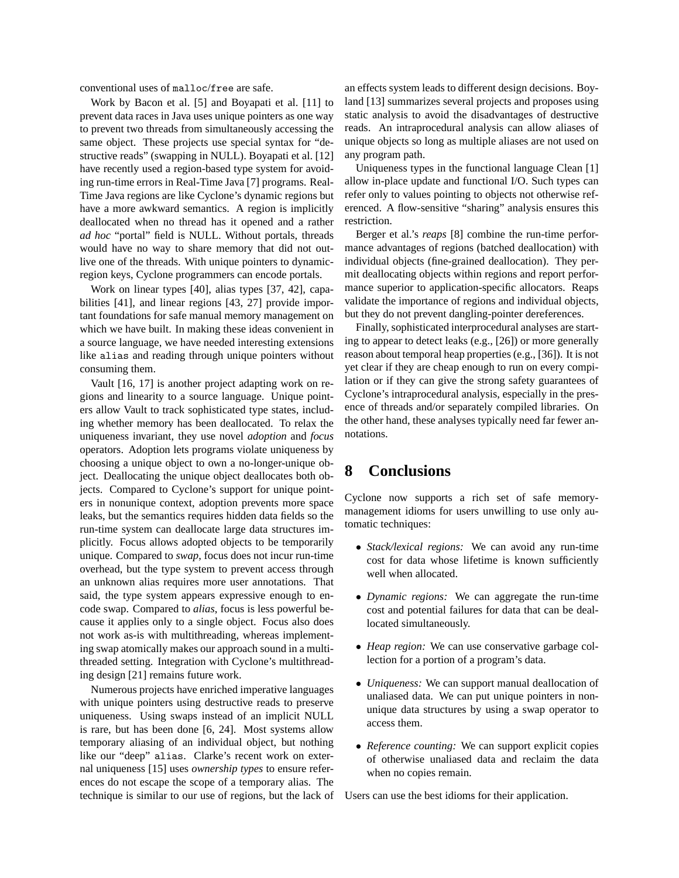conventional uses of malloc/free are safe.

Work by Bacon et al. [5] and Boyapati et al. [11] to prevent data races in Java uses unique pointers as one way to prevent two threads from simultaneously accessing the same object. These projects use special syntax for "destructive reads" (swapping in NULL). Boyapati et al. [12] have recently used a region-based type system for avoiding run-time errors in Real-Time Java [7] programs. Real-Time Java regions are like Cyclone's dynamic regions but have a more awkward semantics. A region is implicitly deallocated when no thread has it opened and a rather *ad hoc* "portal" field is NULL. Without portals, threads would have no way to share memory that did not outlive one of the threads. With unique pointers to dynamicregion keys, Cyclone programmers can encode portals.

Work on linear types [40], alias types [37, 42], capabilities [41], and linear regions [43, 27] provide important foundations for safe manual memory management on which we have built. In making these ideas convenient in a source language, we have needed interesting extensions like alias and reading through unique pointers without consuming them.

Vault [16, 17] is another project adapting work on regions and linearity to a source language. Unique pointers allow Vault to track sophisticated type states, including whether memory has been deallocated. To relax the uniqueness invariant, they use novel *adoption* and *focus* operators. Adoption lets programs violate uniqueness by choosing a unique object to own a no-longer-unique object. Deallocating the unique object deallocates both objects. Compared to Cyclone's support for unique pointers in nonunique context, adoption prevents more space leaks, but the semantics requires hidden data fields so the run-time system can deallocate large data structures implicitly. Focus allows adopted objects to be temporarily unique. Compared to *swap*, focus does not incur run-time overhead, but the type system to prevent access through an unknown alias requires more user annotations. That said, the type system appears expressive enough to encode swap. Compared to *alias*, focus is less powerful because it applies only to a single object. Focus also does not work as-is with multithreading, whereas implementing swap atomically makes our approach sound in a multithreaded setting. Integration with Cyclone's multithreading design [21] remains future work.

Numerous projects have enriched imperative languages with unique pointers using destructive reads to preserve uniqueness. Using swaps instead of an implicit NULL is rare, but has been done [6, 24]. Most systems allow temporary aliasing of an individual object, but nothing like our "deep" alias. Clarke's recent work on external uniqueness [15] uses *ownership types* to ensure references do not escape the scope of a temporary alias. The technique is similar to our use of regions, but the lack of an effects system leads to different design decisions. Boyland [13] summarizes several projects and proposes using static analysis to avoid the disadvantages of destructive reads. An intraprocedural analysis can allow aliases of unique objects so long as multiple aliases are not used on any program path.

Uniqueness types in the functional language Clean [1] allow in-place update and functional I/O. Such types can refer only to values pointing to objects not otherwise referenced. A flow-sensitive "sharing" analysis ensures this restriction.

Berger et al.'s *reaps* [8] combine the run-time performance advantages of regions (batched deallocation) with individual objects (fine-grained deallocation). They permit deallocating objects within regions and report performance superior to application-specific allocators. Reaps validate the importance of regions and individual objects, but they do not prevent dangling-pointer dereferences.

Finally, sophisticated interprocedural analyses are starting to appear to detect leaks (e.g., [26]) or more generally reason about temporal heap properties (e.g., [36]). It is not yet clear if they are cheap enough to run on every compilation or if they can give the strong safety guarantees of Cyclone's intraprocedural analysis, especially in the presence of threads and/or separately compiled libraries. On the other hand, these analyses typically need far fewer annotations.

# **8 Conclusions**

Cyclone now supports a rich set of safe memorymanagement idioms for users unwilling to use only automatic techniques:

- *Stack/lexical regions:* We can avoid any run-time cost for data whose lifetime is known sufficiently well when allocated.
- *Dynamic regions:* We can aggregate the run-time cost and potential failures for data that can be deallocated simultaneously.
- *Heap region:* We can use conservative garbage collection for a portion of a program's data.
- *Uniqueness:* We can support manual deallocation of unaliased data. We can put unique pointers in nonunique data structures by using a swap operator to access them.
- *Reference counting:* We can support explicit copies of otherwise unaliased data and reclaim the data when no copies remain.

Users can use the best idioms for their application.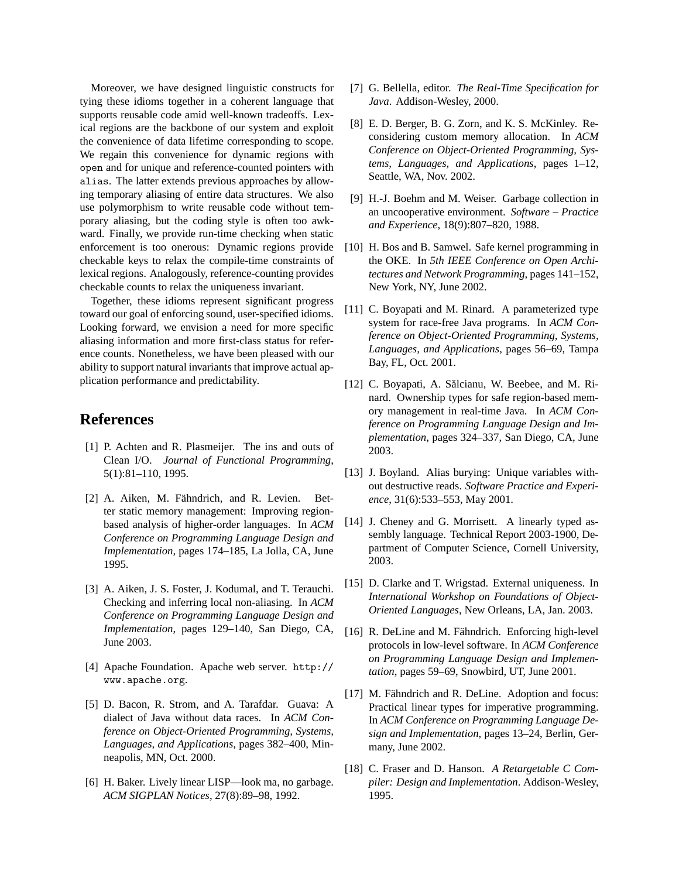Moreover, we have designed linguistic constructs for tying these idioms together in a coherent language that supports reusable code amid well-known tradeoffs. Lexical regions are the backbone of our system and exploit the convenience of data lifetime corresponding to scope. We regain this convenience for dynamic regions with open and for unique and reference-counted pointers with alias. The latter extends previous approaches by allowing temporary aliasing of entire data structures. We also use polymorphism to write reusable code without temporary aliasing, but the coding style is often too awkward. Finally, we provide run-time checking when static enforcement is too onerous: Dynamic regions provide checkable keys to relax the compile-time constraints of lexical regions. Analogously, reference-counting provides checkable counts to relax the uniqueness invariant.

Together, these idioms represent significant progress toward our goal of enforcing sound, user-specified idioms. Looking forward, we envision a need for more specific aliasing information and more first-class status for reference counts. Nonetheless, we have been pleased with our ability to support natural invariants that improve actual application performance and predictability.

### **References**

- [1] P. Achten and R. Plasmeijer. The ins and outs of Clean I/O. *Journal of Functional Programming*, 5(1):81–110, 1995.
- [2] A. Aiken, M. Fähndrich, and R. Levien. Better static memory management: Improving regionbased analysis of higher-order languages. In *ACM Conference on Programming Language Design and Implementation*, pages 174–185, La Jolla, CA, June 1995.
- [3] A. Aiken, J. S. Foster, J. Kodumal, and T. Terauchi. Checking and inferring local non-aliasing. In *ACM Conference on Programming Language Design and Implementation*, pages 129–140, San Diego, CA, June 2003.
- [4] Apache Foundation. Apache web server. http:// www.apache.org.
- [5] D. Bacon, R. Strom, and A. Tarafdar. Guava: A dialect of Java without data races. In *ACM Conference on Object-Oriented Programming, Systems, Languages, and Applications*, pages 382–400, Minneapolis, MN, Oct. 2000.
- [6] H. Baker. Lively linear LISP—look ma, no garbage. *ACM SIGPLAN Notices*, 27(8):89–98, 1992.
- [7] G. Bellella, editor. *The Real-Time Specification for Java*. Addison-Wesley, 2000.
- [8] E. D. Berger, B. G. Zorn, and K. S. McKinley. Reconsidering custom memory allocation. In *ACM Conference on Object-Oriented Programming, Systems, Languages, and Applications*, pages 1–12, Seattle, WA, Nov. 2002.
- [9] H.-J. Boehm and M. Weiser. Garbage collection in an uncooperative environment. *Software – Practice and Experience*, 18(9):807–820, 1988.
- [10] H. Bos and B. Samwel. Safe kernel programming in the OKE. In *5th IEEE Conference on Open Architectures and Network Programming*, pages 141–152, New York, NY, June 2002.
- [11] C. Boyapati and M. Rinard. A parameterized type system for race-free Java programs. In *ACM Conference on Object-Oriented Programming, Systems, Languages, and Applications*, pages 56–69, Tampa Bay, FL, Oct. 2001.
- [12] C. Boyapati, A. Sălcianu, W. Beebee, and M. Rinard. Ownership types for safe region-based memory management in real-time Java. In *ACM Conference on Programming Language Design and Implementation*, pages 324–337, San Diego, CA, June 2003.
- [13] J. Boyland. Alias burying: Unique variables without destructive reads. *Software Practice and Experience*, 31(6):533–553, May 2001.
- [14] J. Cheney and G. Morrisett. A linearly typed assembly language. Technical Report 2003-1900, Department of Computer Science, Cornell University, 2003.
- [15] D. Clarke and T. Wrigstad. External uniqueness. In *International Workshop on Foundations of Object-Oriented Languages*, New Orleans, LA, Jan. 2003.
- $[16]$  R. DeLine and M. Fähndrich. Enforcing high-level protocols in low-level software. In *ACM Conference on Programming Language Design and Implementation*, pages 59–69, Snowbird, UT, June 2001.
- [17] M. Fähndrich and R. DeLine. Adoption and focus: Practical linear types for imperative programming. In *ACM Conference on Programming Language Design and Implementation*, pages 13–24, Berlin, Germany, June 2002.
- [18] C. Fraser and D. Hanson. *A Retargetable C Compiler: Design and Implementation*. Addison-Wesley, 1995.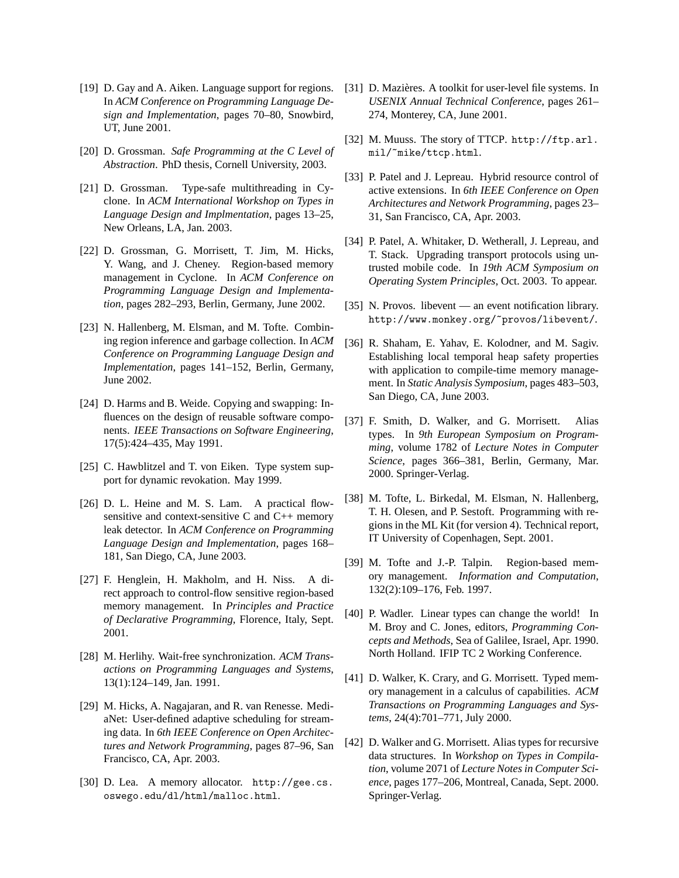- [19] D. Gay and A. Aiken. Language support for regions. In *ACM Conference on Programming Language Design and Implementation*, pages 70–80, Snowbird, UT, June 2001.
- [20] D. Grossman. *Safe Programming at the C Level of Abstraction*. PhD thesis, Cornell University, 2003.
- [21] D. Grossman. Type-safe multithreading in Cyclone. In *ACM International Workshop on Types in Language Design and Implmentation*, pages 13–25, New Orleans, LA, Jan. 2003.
- [22] D. Grossman, G. Morrisett, T. Jim, M. Hicks, Y. Wang, and J. Cheney. Region-based memory management in Cyclone. In *ACM Conference on Programming Language Design and Implementation*, pages 282–293, Berlin, Germany, June 2002.
- [23] N. Hallenberg, M. Elsman, and M. Tofte. Combining region inference and garbage collection. In *ACM Conference on Programming Language Design and Implementation*, pages 141–152, Berlin, Germany, June 2002.
- [24] D. Harms and B. Weide. Copying and swapping: Influences on the design of reusable software components. *IEEE Transactions on Software Engineering*, 17(5):424–435, May 1991.
- [25] C. Hawblitzel and T. von Eiken. Type system support for dynamic revokation. May 1999.
- [26] D. L. Heine and M. S. Lam. A practical flowsensitive and context-sensitive C and C++ memory leak detector. In *ACM Conference on Programming Language Design and Implementation*, pages 168– 181, San Diego, CA, June 2003.
- [27] F. Henglein, H. Makholm, and H. Niss. A direct approach to control-flow sensitive region-based memory management. In *Principles and Practice of Declarative Programming*, Florence, Italy, Sept. 2001.
- [28] M. Herlihy. Wait-free synchronization. *ACM Transactions on Programming Languages and Systems*, 13(1):124–149, Jan. 1991.
- [29] M. Hicks, A. Nagajaran, and R. van Renesse. MediaNet: User-defined adaptive scheduling for streaming data. In *6th IEEE Conference on Open Architectures and Network Programming*, pages 87–96, San Francisco, CA, Apr. 2003.
- [30] D. Lea. A memory allocator. http://gee.cs. oswego.edu/dl/html/malloc.html.
- [31] D. Mazières. A toolkit for user-level file systems. In *USENIX Annual Technical Conference*, pages 261– 274, Monterey, CA, June 2001.
- [32] M. Muuss. The story of TTCP. http://ftp.arl. mil/~mike/ttcp.html.
- [33] P. Patel and J. Lepreau. Hybrid resource control of active extensions. In *6th IEEE Conference on Open Architectures and Network Programming*, pages 23– 31, San Francisco, CA, Apr. 2003.
- [34] P. Patel, A. Whitaker, D. Wetherall, J. Lepreau, and T. Stack. Upgrading transport protocols using untrusted mobile code. In *19th ACM Symposium on Operating System Principles*, Oct. 2003. To appear.
- [35] N. Provos. libevent an event notification library. http://www.monkey.org/~provos/libevent/.
- [36] R. Shaham, E. Yahav, E. Kolodner, and M. Sagiv. Establishing local temporal heap safety properties with application to compile-time memory management. In *Static Analysis Symposium*, pages 483–503, San Diego, CA, June 2003.
- [37] F. Smith, D. Walker, and G. Morrisett. Alias types. In *9th European Symposium on Programming*, volume 1782 of *Lecture Notes in Computer Science*, pages 366–381, Berlin, Germany, Mar. 2000. Springer-Verlag.
- [38] M. Tofte, L. Birkedal, M. Elsman, N. Hallenberg, T. H. Olesen, and P. Sestoft. Programming with regions in the ML Kit (for version 4). Technical report, IT University of Copenhagen, Sept. 2001.
- [39] M. Tofte and J.-P. Talpin. Region-based memory management. *Information and Computation*, 132(2):109–176, Feb. 1997.
- [40] P. Wadler. Linear types can change the world! In M. Broy and C. Jones, editors, *Programming Concepts and Methods*, Sea of Galilee, Israel, Apr. 1990. North Holland. IFIP TC 2 Working Conference.
- [41] D. Walker, K. Crary, and G. Morrisett. Typed memory management in a calculus of capabilities. *ACM Transactions on Programming Languages and Systems*, 24(4):701–771, July 2000.
- [42] D. Walker and G. Morrisett. Alias types for recursive data structures. In *Workshop on Types in Compilation*, volume 2071 of *Lecture Notes in Computer Science*, pages 177–206, Montreal, Canada, Sept. 2000. Springer-Verlag.